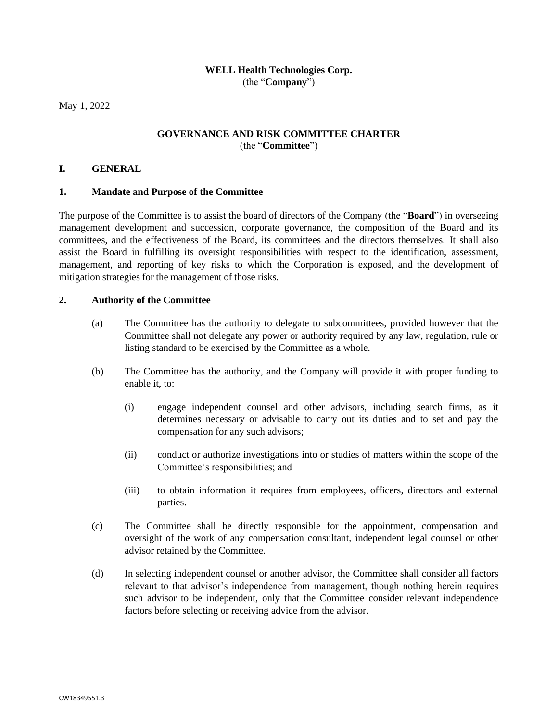# **WELL Health Technologies Corp.** (the "**Company**")

May 1, 2022

# **GOVERNANCE AND RISK COMMITTEE CHARTER** (the "**Committee**")

## **I. GENERAL**

### **1. Mandate and Purpose of the Committee**

The purpose of the Committee is to assist the board of directors of the Company (the "**Board**") in overseeing management development and succession, corporate governance, the composition of the Board and its committees, and the effectiveness of the Board, its committees and the directors themselves. It shall also assist the Board in fulfilling its oversight responsibilities with respect to the identification, assessment, management, and reporting of key risks to which the Corporation is exposed, and the development of mitigation strategies for the management of those risks.

### **2. Authority of the Committee**

- (a) The Committee has the authority to delegate to subcommittees, provided however that the Committee shall not delegate any power or authority required by any law, regulation, rule or listing standard to be exercised by the Committee as a whole.
- (b) The Committee has the authority, and the Company will provide it with proper funding to enable it, to:
	- (i) engage independent counsel and other advisors, including search firms, as it determines necessary or advisable to carry out its duties and to set and pay the compensation for any such advisors;
	- (ii) conduct or authorize investigations into or studies of matters within the scope of the Committee's responsibilities; and
	- (iii) to obtain information it requires from employees, officers, directors and external parties.
- (c) The Committee shall be directly responsible for the appointment, compensation and oversight of the work of any compensation consultant, independent legal counsel or other advisor retained by the Committee.
- (d) In selecting independent counsel or another advisor, the Committee shall consider all factors relevant to that advisor's independence from management, though nothing herein requires such advisor to be independent, only that the Committee consider relevant independence factors before selecting or receiving advice from the advisor.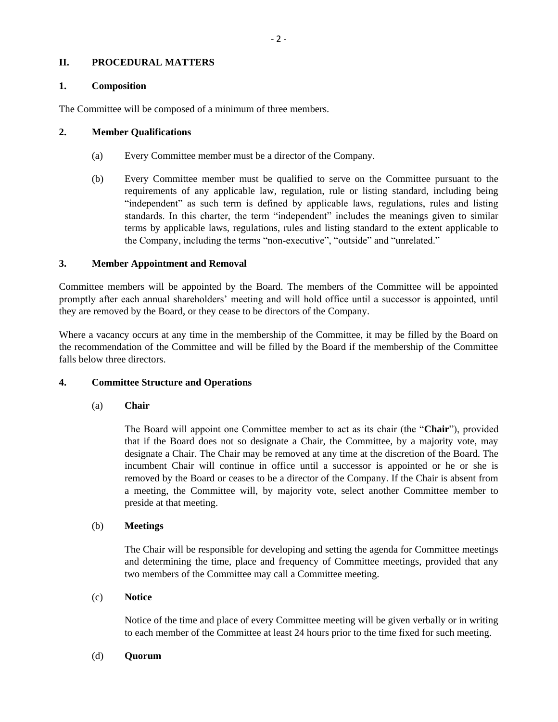# **II. PROCEDURAL MATTERS**

## **1. Composition**

The Committee will be composed of a minimum of three members.

### **2. Member Qualifications**

- (a) Every Committee member must be a director of the Company.
- (b) Every Committee member must be qualified to serve on the Committee pursuant to the requirements of any applicable law, regulation, rule or listing standard, including being "independent" as such term is defined by applicable laws, regulations, rules and listing standards. In this charter, the term "independent" includes the meanings given to similar terms by applicable laws, regulations, rules and listing standard to the extent applicable to the Company, including the terms "non‐executive", "outside" and "unrelated."

## **3. Member Appointment and Removal**

Committee members will be appointed by the Board. The members of the Committee will be appointed promptly after each annual shareholders' meeting and will hold office until a successor is appointed, until they are removed by the Board, or they cease to be directors of the Company.

Where a vacancy occurs at any time in the membership of the Committee, it may be filled by the Board on the recommendation of the Committee and will be filled by the Board if the membership of the Committee falls below three directors.

## **4. Committee Structure and Operations**

### (a) **Chair**

The Board will appoint one Committee member to act as its chair (the "**Chair**"), provided that if the Board does not so designate a Chair, the Committee, by a majority vote, may designate a Chair. The Chair may be removed at any time at the discretion of the Board. The incumbent Chair will continue in office until a successor is appointed or he or she is removed by the Board or ceases to be a director of the Company. If the Chair is absent from a meeting, the Committee will, by majority vote, select another Committee member to preside at that meeting.

## (b) **Meetings**

The Chair will be responsible for developing and setting the agenda for Committee meetings and determining the time, place and frequency of Committee meetings, provided that any two members of the Committee may call a Committee meeting.

## (c) **Notice**

Notice of the time and place of every Committee meeting will be given verbally or in writing to each member of the Committee at least 24 hours prior to the time fixed for such meeting.

#### (d) **Quorum**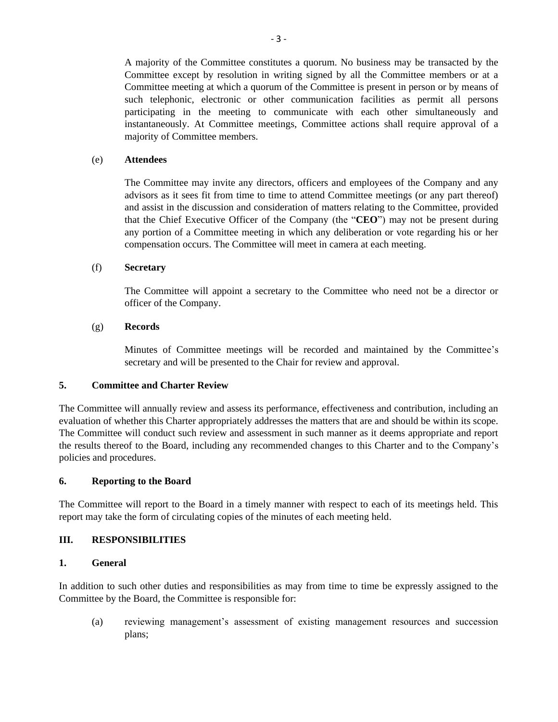A majority of the Committee constitutes a quorum. No business may be transacted by the Committee except by resolution in writing signed by all the Committee members or at a Committee meeting at which a quorum of the Committee is present in person or by means of such telephonic, electronic or other communication facilities as permit all persons participating in the meeting to communicate with each other simultaneously and instantaneously. At Committee meetings, Committee actions shall require approval of a majority of Committee members.

### (e) **Attendees**

The Committee may invite any directors, officers and employees of the Company and any advisors as it sees fit from time to time to attend Committee meetings (or any part thereof) and assist in the discussion and consideration of matters relating to the Committee, provided that the Chief Executive Officer of the Company (the "**CEO**") may not be present during any portion of a Committee meeting in which any deliberation or vote regarding his or her compensation occurs. The Committee will meet in camera at each meeting.

### (f) **Secretary**

The Committee will appoint a secretary to the Committee who need not be a director or officer of the Company.

### (g) **Records**

Minutes of Committee meetings will be recorded and maintained by the Committee's secretary and will be presented to the Chair for review and approval.

#### **5. Committee and Charter Review**

The Committee will annually review and assess its performance, effectiveness and contribution, including an evaluation of whether this Charter appropriately addresses the matters that are and should be within its scope. The Committee will conduct such review and assessment in such manner as it deems appropriate and report the results thereof to the Board, including any recommended changes to this Charter and to the Company's policies and procedures.

### **6. Reporting to the Board**

The Committee will report to the Board in a timely manner with respect to each of its meetings held. This report may take the form of circulating copies of the minutes of each meeting held.

#### **III. RESPONSIBILITIES**

### **1. General**

In addition to such other duties and responsibilities as may from time to time be expressly assigned to the Committee by the Board, the Committee is responsible for:

(a) reviewing management's assessment of existing management resources and succession plans;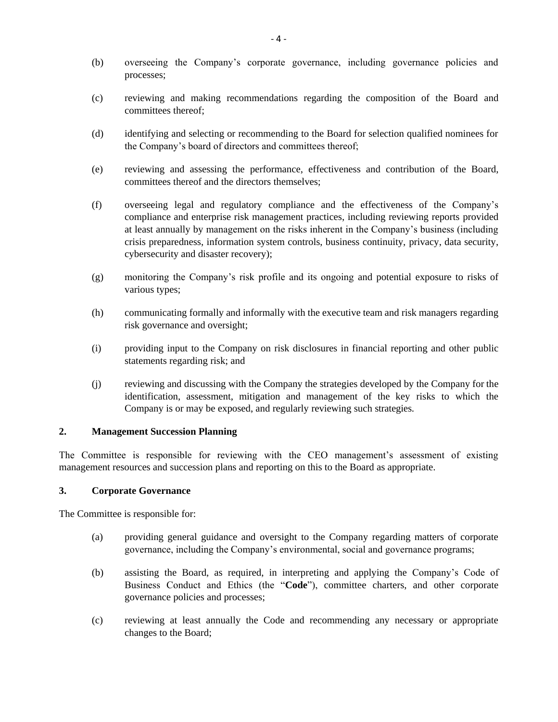- (b) overseeing the Company's corporate governance, including governance policies and processes;
- (c) reviewing and making recommendations regarding the composition of the Board and committees thereof;
- (d) identifying and selecting or recommending to the Board for selection qualified nominees for the Company's board of directors and committees thereof;
- (e) reviewing and assessing the performance, effectiveness and contribution of the Board, committees thereof and the directors themselves;
- (f) overseeing legal and regulatory compliance and the effectiveness of the Company's compliance and enterprise risk management practices, including reviewing reports provided at least annually by management on the risks inherent in the Company's business (including crisis preparedness, information system controls, business continuity, privacy, data security, cybersecurity and disaster recovery);
- (g) monitoring the Company's risk profile and its ongoing and potential exposure to risks of various types;
- (h) communicating formally and informally with the executive team and risk managers regarding risk governance and oversight;
- (i) providing input to the Company on risk disclosures in financial reporting and other public statements regarding risk; and
- (j) reviewing and discussing with the Company the strategies developed by the Company for the identification, assessment, mitigation and management of the key risks to which the Company is or may be exposed, and regularly reviewing such strategies.

## **2. Management Succession Planning**

The Committee is responsible for reviewing with the CEO management's assessment of existing management resources and succession plans and reporting on this to the Board as appropriate.

### **3. Corporate Governance**

The Committee is responsible for:

- (a) providing general guidance and oversight to the Company regarding matters of corporate governance, including the Company's environmental, social and governance programs;
- (b) assisting the Board, as required, in interpreting and applying the Company's Code of Business Conduct and Ethics (the "**Code**"), committee charters, and other corporate governance policies and processes;
- (c) reviewing at least annually the Code and recommending any necessary or appropriate changes to the Board;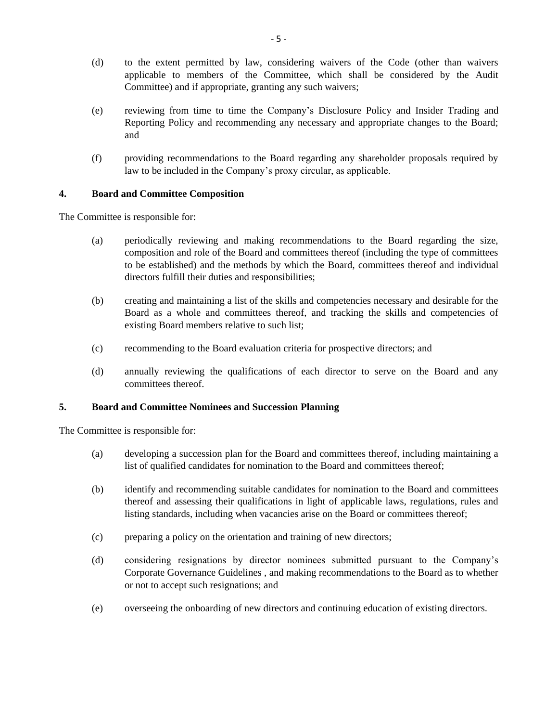- (d) to the extent permitted by law, considering waivers of the Code (other than waivers applicable to members of the Committee, which shall be considered by the Audit Committee) and if appropriate, granting any such waivers;
- (e) reviewing from time to time the Company's Disclosure Policy and Insider Trading and Reporting Policy and recommending any necessary and appropriate changes to the Board; and
- (f) providing recommendations to the Board regarding any shareholder proposals required by law to be included in the Company's proxy circular, as applicable.

## **4. Board and Committee Composition**

The Committee is responsible for:

- (a) periodically reviewing and making recommendations to the Board regarding the size, composition and role of the Board and committees thereof (including the type of committees to be established) and the methods by which the Board, committees thereof and individual directors fulfill their duties and responsibilities;
- (b) creating and maintaining a list of the skills and competencies necessary and desirable for the Board as a whole and committees thereof, and tracking the skills and competencies of existing Board members relative to such list;
- (c) recommending to the Board evaluation criteria for prospective directors; and
- (d) annually reviewing the qualifications of each director to serve on the Board and any committees thereof.

## **5. Board and Committee Nominees and Succession Planning**

The Committee is responsible for:

- (a) developing a succession plan for the Board and committees thereof, including maintaining a list of qualified candidates for nomination to the Board and committees thereof;
- (b) identify and recommending suitable candidates for nomination to the Board and committees thereof and assessing their qualifications in light of applicable laws, regulations, rules and listing standards, including when vacancies arise on the Board or committees thereof;
- (c) preparing a policy on the orientation and training of new directors;
- (d) considering resignations by director nominees submitted pursuant to the Company's Corporate Governance Guidelines , and making recommendations to the Board as to whether or not to accept such resignations; and
- (e) overseeing the onboarding of new directors and continuing education of existing directors.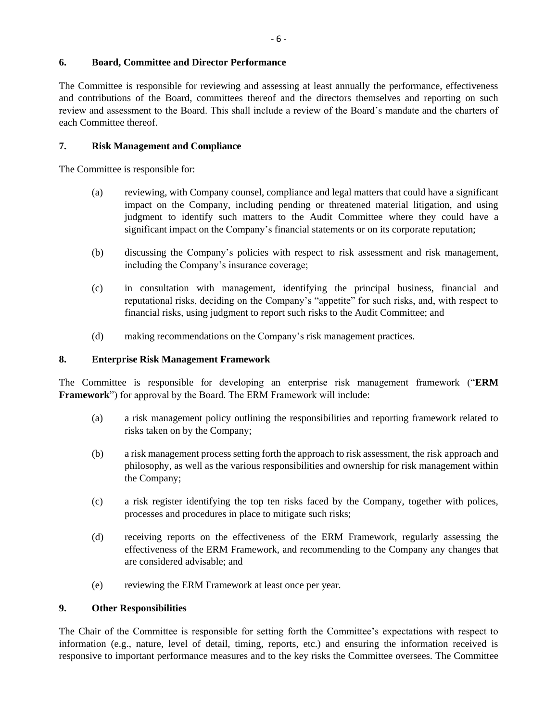# **6. Board, Committee and Director Performance**

The Committee is responsible for reviewing and assessing at least annually the performance, effectiveness and contributions of the Board, committees thereof and the directors themselves and reporting on such review and assessment to the Board. This shall include a review of the Board's mandate and the charters of each Committee thereof.

# **7. Risk Management and Compliance**

The Committee is responsible for:

- (a) reviewing, with Company counsel, compliance and legal matters that could have a significant impact on the Company, including pending or threatened material litigation, and using judgment to identify such matters to the Audit Committee where they could have a significant impact on the Company's financial statements or on its corporate reputation;
- (b) discussing the Company's policies with respect to risk assessment and risk management, including the Company's insurance coverage;
- (c) in consultation with management, identifying the principal business, financial and reputational risks, deciding on the Company's "appetite" for such risks, and, with respect to financial risks, using judgment to report such risks to the Audit Committee; and
- (d) making recommendations on the Company's risk management practices.

#### **8. Enterprise Risk Management Framework**

The Committee is responsible for developing an enterprise risk management framework ("**ERM Framework**") for approval by the Board. The ERM Framework will include:

- (a) a risk management policy outlining the responsibilities and reporting framework related to risks taken on by the Company;
- (b) a risk management process setting forth the approach to risk assessment, the risk approach and philosophy, as well as the various responsibilities and ownership for risk management within the Company;
- (c) a risk register identifying the top ten risks faced by the Company, together with polices, processes and procedures in place to mitigate such risks;
- (d) receiving reports on the effectiveness of the ERM Framework, regularly assessing the effectiveness of the ERM Framework, and recommending to the Company any changes that are considered advisable; and
- (e) reviewing the ERM Framework at least once per year.

#### **9. Other Responsibilities**

The Chair of the Committee is responsible for setting forth the Committee's expectations with respect to information (e.g., nature, level of detail, timing, reports, etc.) and ensuring the information received is responsive to important performance measures and to the key risks the Committee oversees. The Committee